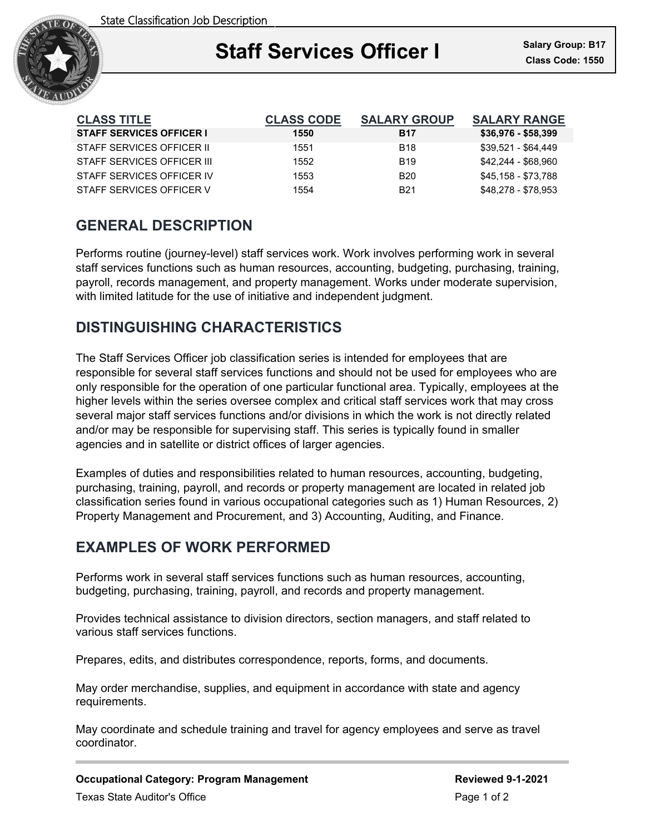

| <b>CLASS TITLE</b>              | <b>CLASS CODE</b> | <b>SALARY GROUP</b>    | <b>SALARY RANGE</b> |
|---------------------------------|-------------------|------------------------|---------------------|
| <b>STAFF SERVICES OFFICER I</b> | 1550              | <b>B17</b>             | $$36,976 - $58,399$ |
| STAFF SFRVICES OFFICER II       | 1551              | <b>B18</b>             | \$39,521 - \$64,449 |
| STAFF SERVICES OFFICER III      | 1552              | <b>B</b> <sub>19</sub> | \$42,244 - \$68,960 |
| STAFF SERVICES OFFICER IV       | 1553              | B <sub>20</sub>        | \$45,158 - \$73,788 |
| STAFF SERVICES OFFICER V        | 1554              | <b>B21</b>             | \$48,278 - \$78,953 |

# **GENERAL DESCRIPTION**

Performs routine (journey-level) staff services work. Work involves performing work in several staff services functions such as human resources, accounting, budgeting, purchasing, training, payroll, records management, and property management. Works under moderate supervision, with limited latitude for the use of initiative and independent judgment.

## **DISTINGUISHING CHARACTERISTICS**

The Staff Services Officer job classification series is intended for employees that are responsible for several staff services functions and should not be used for employees who are only responsible for the operation of one particular functional area. Typically, employees at the higher levels within the series oversee complex and critical staff services work that may cross several major staff services functions and/or divisions in which the work is not directly related and/or may be responsible for supervising staff. This series is typically found in smaller agencies and in satellite or district offices of larger agencies.

Examples of duties and responsibilities related to human resources, accounting, budgeting, purchasing, training, payroll, and records or property management are located in related job classification series found in various occupational categories such as 1) Human Resources, 2) Property Management and Procurement, and 3) Accounting, Auditing, and Finance.

## **EXAMPLES OF WORK PERFORMED**

Performs work in several staff services functions such as human resources, accounting, budgeting, purchasing, training, payroll, and records and property management.

Provides technical assistance to division directors, section managers, and staff related to various staff services functions.

Prepares, edits, and distributes correspondence, reports, forms, and documents.

May order merchandise, supplies, and equipment in accordance with state and agency requirements.

May coordinate and schedule training and travel for agency employees and serve as travel coordinator.